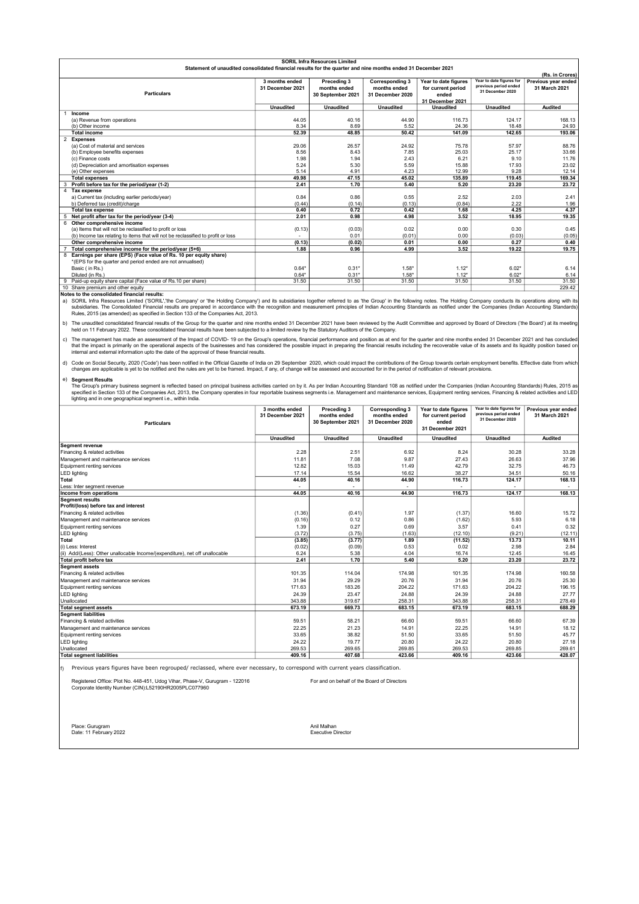|   | <b>SORIL Infra Resources Limited</b>                                                                         |                  |                   |                        |                      |                          |                     |  |
|---|--------------------------------------------------------------------------------------------------------------|------------------|-------------------|------------------------|----------------------|--------------------------|---------------------|--|
|   | Statement of unaudited consolidated financial results for the quarter and nine months ended 31 December 2021 |                  |                   |                        |                      |                          |                     |  |
|   | (Rs. in Crores)                                                                                              |                  |                   |                        |                      |                          |                     |  |
|   |                                                                                                              | 3 months ended   | Preceding 3       | <b>Corresponding 3</b> | Year to date figures | Year to date figures for | Previous year ended |  |
|   |                                                                                                              | 31 December 2021 | months ended      | months ended           | for current period   | previous period ended    | 31 March 2021       |  |
|   | <b>Particulars</b>                                                                                           |                  | 30 September 2021 | 31 December 2020       | ended                | 31 December 2020         |                     |  |
|   |                                                                                                              |                  |                   |                        | 31 December 2021     |                          |                     |  |
|   |                                                                                                              | <b>Unaudited</b> | <b>Unaudited</b>  | <b>Unaudited</b>       | <b>Unaudited</b>     | <b>Unaudited</b>         | <b>Audited</b>      |  |
|   | Income                                                                                                       |                  |                   |                        |                      |                          |                     |  |
|   | (a) Revenue from operations                                                                                  | 44.05            | 40.16             | 44.90                  | 116.73               | 124.17                   | 168.13              |  |
|   | (b) Other income                                                                                             | 8.34             | 8.69              | 5.52                   | 24.36                | 18.48                    | 24.93               |  |
|   | <b>Total income</b>                                                                                          | 52.39            | 48.85             | 50.42                  | 141.09               | 142.65                   | 193.06              |  |
|   | 2 Expenses                                                                                                   |                  |                   |                        |                      |                          |                     |  |
|   | (a) Cost of material and services                                                                            | 29.06            | 26.57             | 24.92                  | 75.78                | 57.97                    | 88.76               |  |
|   | (b) Employee benefits expenses                                                                               | 8.56             | 8.43              | 7.85                   | 25.03                | 25.17                    | 33.66               |  |
|   | (c) Finance costs                                                                                            | 1.98             | 1.94              | 2.43                   | 6.21                 | 9.10                     | 11.76               |  |
|   | (d) Depreciation and amortisation expenses                                                                   | 5.24             | 5.30              | 5.59                   | 15.88                | 17.93                    | 23.02               |  |
|   | (e) Other expenses                                                                                           | 5.14             | 4.91              | 4.23                   | 12.99                | 9.28                     | 12.14               |  |
|   | <b>Total expenses</b>                                                                                        | 49.98            | 47.15             | 45.02                  | 135.89               | 119.45                   | 169.34              |  |
| з | Profit before tax for the period/year (1-2)                                                                  | 2.41             | 1.70              | 5.40                   | 5.20                 | 23.20                    | 23.72               |  |
| 4 | <b>Tax expense</b>                                                                                           |                  |                   |                        |                      |                          |                     |  |
|   | a) Current tax (including earlier periods/year)                                                              | 0.84             | 0.86              | 0.55                   | 2.52                 | 2.03                     | 2.41                |  |
|   | b) Deferred tax (credit)/charge                                                                              | (0.44)           | (0.14)            | (0.13)                 | (0.84)               | 2.22                     | 1.96                |  |
|   | <b>Total tax expense</b>                                                                                     | 0.40             | 0.72              | 0.42                   | 1.68                 | 4.25                     | 4.37                |  |
|   | 5 Net profit after tax for the period/year (3-4)                                                             | 2.01             | 0.98              | 4.98                   | 3.52                 | 18.95                    | 19.35               |  |
|   | 6 Other comprehensive income                                                                                 |                  |                   |                        |                      |                          |                     |  |
|   | (a) Items that will not be reclassified to profit or loss                                                    | (0.13)           | (0.03)            | 0.02                   | 0.00                 | 0.30                     | 0.45                |  |
|   | (b) Income tax relating to items that will not be reclassified to profit or loss                             |                  | 0.01              | (0.01)                 | 0.00                 | (0.03)                   | (0.05)              |  |
|   | Other comprehensive income                                                                                   | (0.13)           | (0.02)            | 0.01                   | 0.00                 | 0.27                     | 0.40                |  |
|   | Total comprehensive income for the period/year (5+6)                                                         | 1.88             | 0.96              | 4.99                   | 3.52                 | 19.22                    | 19.75               |  |
|   | 8 Earnings per share (EPS) (Face value of Rs. 10 per equity share)                                           |                  |                   |                        |                      |                          |                     |  |
|   | *(EPS for the quarter and period ended are not annualised)                                                   |                  |                   |                        |                      |                          |                     |  |
|   | Basic (in Rs.)                                                                                               | $0.64*$          | $0.31*$           | $1.58*$                | $1.12*$              | $6.02*$                  | 6.14                |  |
|   | Diluted (in Rs.)                                                                                             | $0.64*$          | $0.31*$           | $1.58*$                | $1.12*$              | $6.02*$                  | 6.14                |  |
|   | Paid-up equity share capital (Face value of Rs.10 per share)                                                 | 31.50            | 31.50             | 31.50                  | 31.50                | 31.50                    | 31.50               |  |
|   | 10 Share premium and other equity                                                                            |                  |                   |                        |                      |                          | 229.42              |  |

Notes to the consolidated financial results:<br>a) SORIL Infra Resources Limited ('SORIL' SORIL Infra Resources Limited ('SORIL','the Company' or 'the Holding Company') and its subsidiaries together referred to as 'the Group' in the following notes. The Holding Company conducts its operations along with its<br>sub

b) The unaudited consolidated financial results of the Group for the quarter and nine months ended 31 December 2021 have been reviewed by the Audit Committee and approved by Board of Directors ('the Board') at its meeting<br>

c) The management has made an assessment of the Impact of COVID-19 on the Group's operations, financial performance and position as at end for the quarter and nine months ended 31 December 2021 and has concluded that the impact is primarily on the operational aspects of the businesses and has considered the possible impact in preparing the financial results including the recoverable value of its assets and its liquidity position b

d) Code on Social Security, 2020 ('Code') has been notified in the Official Gazette of India on 29 September 2020, which could impact the contributions of the Group towards certain employment benefits. Effective date from changes are applicable is yet to be notified and the rules are yet to be framed. Impact, if any, of change will be assessed and accounted for in the period of notification of relevant provisions.

## Segment Results

e) Segment Results<br>The Group's primary business segment is reflected based on principal business activities carried on by it. As per Indian Accounting Standard 108 as notified under the Companies (Indian Accounting Standar

| <b>Particulars</b>                                                           | 3 months ended<br>31 December 2021 | Preceding 3<br>months ended<br>30 September 2021 | <b>Corresponding 3</b><br>months ended<br>31 December 2020 | Year to date figures<br>for current period<br>ended<br>31 December 2021 | Year to date figures for<br>previous period ended<br>31 December 2020 | Previous year ended<br>31 March 2021 |
|------------------------------------------------------------------------------|------------------------------------|--------------------------------------------------|------------------------------------------------------------|-------------------------------------------------------------------------|-----------------------------------------------------------------------|--------------------------------------|
|                                                                              | <b>Unaudited</b>                   | <b>Unaudited</b>                                 | <b>Unaudited</b>                                           | <b>Unaudited</b>                                                        | <b>Unaudited</b>                                                      | <b>Audited</b>                       |
| <b>Segment revenue</b>                                                       |                                    |                                                  |                                                            |                                                                         |                                                                       |                                      |
| Financing & related activities                                               | 2.28                               | 2.51                                             | 6.92                                                       | 8.24                                                                    | 30.28                                                                 | 33.28                                |
| Management and maintenance services                                          | 11.81                              | 7.08                                             | 9.87                                                       | 27.43                                                                   | 26.63                                                                 | 37.96                                |
| Equipment renting services                                                   | 12.82                              | 15.03                                            | 11.49                                                      | 42.79                                                                   | 32.75                                                                 | 46.73                                |
| <b>LED lighting</b>                                                          | 17.14                              | 15.54                                            | 16.62                                                      | 38.27                                                                   | 34.51                                                                 | 50.16                                |
| <b>Total</b>                                                                 | 44.05                              | 40.16                                            | 44.90                                                      | 116.73                                                                  | 124.17                                                                | 168.13                               |
| Less: Inter segment revenue                                                  |                                    |                                                  |                                                            |                                                                         |                                                                       |                                      |
| Income from operations                                                       | 44.05                              | 40.16                                            | 44.90                                                      | 116.73                                                                  | 124.17                                                                | 168.13                               |
| Segment results                                                              |                                    |                                                  |                                                            |                                                                         |                                                                       |                                      |
| Profit/(loss) before tax and interest                                        |                                    |                                                  |                                                            |                                                                         |                                                                       |                                      |
| Financing & related activities                                               | (1.36)                             | (0.41)                                           | 1.97                                                       | (1.37)                                                                  | 16.60                                                                 | 15.72                                |
| Management and maintenance services                                          | (0.16)                             | 0.12                                             | 0.86                                                       | (1.62)                                                                  | 5.93                                                                  | 6.18                                 |
| Equipment renting services                                                   | 1.39                               | 0.27                                             | 0.69                                                       | 3.57                                                                    | 0.41                                                                  | 0.32                                 |
| <b>LED lighting</b>                                                          | (3.72)                             | (3.75)                                           | (1.63)                                                     | (12.10)                                                                 | (9.21)                                                                | (12.11)                              |
| <b>Total</b>                                                                 | (3.85)                             | (3.77)                                           | 1.89                                                       | (11.52)                                                                 | 13.73                                                                 | 10.11                                |
| (i) Less: Interest                                                           | (0.02)                             | (0.09)                                           | 0.53                                                       | 0.02                                                                    | 2.98                                                                  | 2.84                                 |
| (ii) Add/(Less): Other unallocable Income/(expenditure), net off unallocable | 6.24                               | 5.38                                             | 4.04                                                       | 16.74                                                                   | 12.45                                                                 | 16.45                                |
| Total profit before tax                                                      | 2.41                               | 1.70                                             | 5.40                                                       | 5.20                                                                    | 23.20                                                                 | 23.72                                |
| <b>Segment assets</b>                                                        |                                    |                                                  |                                                            |                                                                         |                                                                       |                                      |
| Financing & related activities                                               | 101.35                             | 114.04                                           | 174.98                                                     | 101.35                                                                  | 174.98                                                                | 160.58                               |
| Management and maintenance services                                          | 31.94                              | 29.29                                            | 20.76                                                      | 31.94                                                                   | 20.76                                                                 | 25.30                                |
| Equipment renting services                                                   | 171.63                             | 183.26                                           | 204.22                                                     | 171.63                                                                  | 204.22                                                                | 196.15                               |
| <b>LED lighting</b>                                                          | 24.39                              | 23.47                                            | 24.88                                                      | 24.39                                                                   | 24.88                                                                 | 27.77                                |
| Unallocated                                                                  | 343.88                             | 319.67                                           | 258.31                                                     | 343.88                                                                  | 258.31                                                                | 278.49                               |
| <b>Total segment assets</b>                                                  | 673.19                             | 669.73                                           | 683.15                                                     | 673.19                                                                  | 683.15                                                                | 688.29                               |
| <b>Segment liabilities</b>                                                   |                                    |                                                  |                                                            |                                                                         |                                                                       |                                      |
| Financing & related activities                                               | 59.51                              | 58.21                                            | 66.60                                                      | 59.51                                                                   | 66.60                                                                 | 67.39                                |
| Management and maintenance services                                          | 22.25                              | 21.23                                            | 14.91                                                      | 22.25                                                                   | 14.91                                                                 | 18.12<br>45.77                       |
| Equipment renting services                                                   | 33.65                              | 38.82                                            | 51.50                                                      | 33.65                                                                   | 51.50                                                                 |                                      |
| <b>LED lighting</b>                                                          | 24.22                              | 19.77                                            | 20.80                                                      | 24.22                                                                   | 20.80                                                                 | 27.18                                |
| Unallocated                                                                  | 269.53                             | 269.65                                           | 269.85                                                     | 269.53                                                                  | 269.85                                                                | 269.61                               |
| <b>Total segment liabilities</b>                                             | 409.16                             | 407.68                                           | 423.66                                                     | 409.16                                                                  | 423.66                                                                | 428.07                               |

 $\ket{\hat{n}}$  Previous vears figures have been regrouped/ reclassed, where ever necessary, to correspond with current vears classification.

Registered Office: Plot No. 448-451, Udog Vihar, Phase-V, Gurugram - 122016<br>Corporate Identity Number (CIN):L52190HR2005PLC077960

Place: Gurugram Anil Malhan Date: 11 February 2022 Executive Director